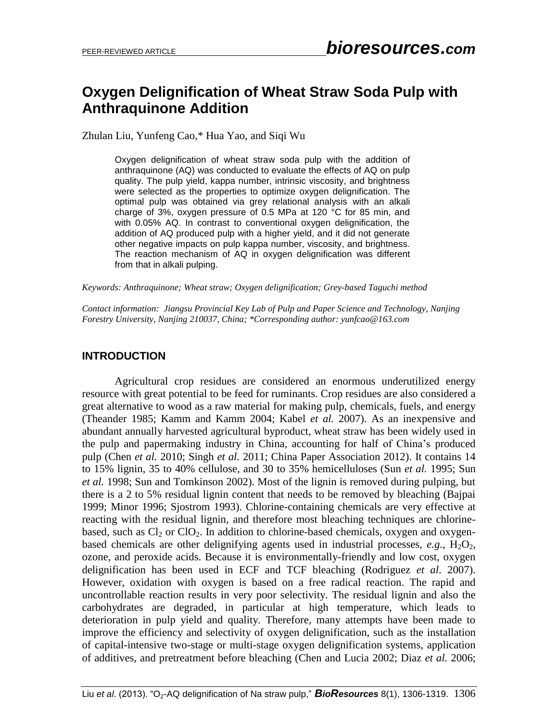# **Oxygen Delignification of Wheat Straw Soda Pulp with Anthraquinone Addition**

Zhulan Liu, Yunfeng Cao,\* Hua Yao, and Siqi Wu

Oxygen delignification of wheat straw soda pulp with the addition of anthraquinone (AQ) was conducted to evaluate the effects of AQ on pulp quality. The pulp yield, kappa number, intrinsic viscosity, and brightness were selected as the properties to optimize oxygen delignification. The optimal pulp was obtained via grey relational analysis with an alkali charge of 3%, oxygen pressure of 0.5 MPa at 120 °C for 85 min, and with 0.05% AQ. In contrast to conventional oxygen delignification, the addition of AQ produced pulp with a higher yield, and it did not generate other negative impacts on pulp kappa number, viscosity, and brightness. The reaction mechanism of AQ in oxygen delignification was different from that in alkali pulping.

*Keywords: Anthraquinone; Wheat straw; Oxygen delignification; Grey-based Taguchi method*

*Contact information: Jiangsu Provincial Key Lab of Pulp and Paper Science and Technology, Nanjing Forestry University, Nanjing 210037, China; \*Corresponding author: yunfcao@163.com*

#### **INTRODUCTION**

Agricultural crop residues are considered an enormous underutilized energy resource with great potential to be feed for ruminants. Crop residues are also considered a great alternative to wood as a raw material for making pulp, chemicals, fuels, and energy (Theander 1985; Kamm and Kamm 2004; Kabel *et al.* 2007). As an inexpensive and abundant annually harvested agricultural byproduct, wheat straw has been widely used in the pulp and papermaking industry in China, accounting for half of China's produced pulp (Chen *et al.* 2010; Singh *et al.* 2011; China Paper Association 2012). It contains 14 to 15% lignin, 35 to 40% cellulose, and 30 to 35% hemicelluloses (Sun *et al.* 1995; Sun *et al.* 1998; Sun and Tomkinson 2002). Most of the lignin is removed during pulping, but there is a 2 to 5% residual lignin content that needs to be removed by bleaching (Bajpai 1999; Minor 1996; Sjostrom 1993). Chlorine-containing chemicals are very effective at reacting with the residual lignin, and therefore most bleaching techniques are chlorinebased, such as  $Cl_2$  or  $Cl_2$ . In addition to chlorine-based chemicals, oxygen and oxygenbased chemicals are other delignifying agents used in industrial processes,  $e.g., H<sub>2</sub>O<sub>2</sub>$ , ozone, and peroxide acids. Because it is environmentally-friendly and low cost, oxygen delignification has been used in ECF and TCF bleaching (Rodriguez *et al*. 2007). However, oxidation with oxygen is based on a free radical reaction. The rapid and uncontrollable reaction results in very poor selectivity. The residual lignin and also the carbohydrates are degraded, in particular at high temperature, which leads to deterioration in pulp yield and quality. Therefore, many attempts have been made to improve the efficiency and selectivity of oxygen delignification, such as the installation of capital-intensive two-stage or multi-stage oxygen delignification systems, application of additives, and pretreatment before bleaching (Chen and Lucia 2002; Diaz *et al.* 2006;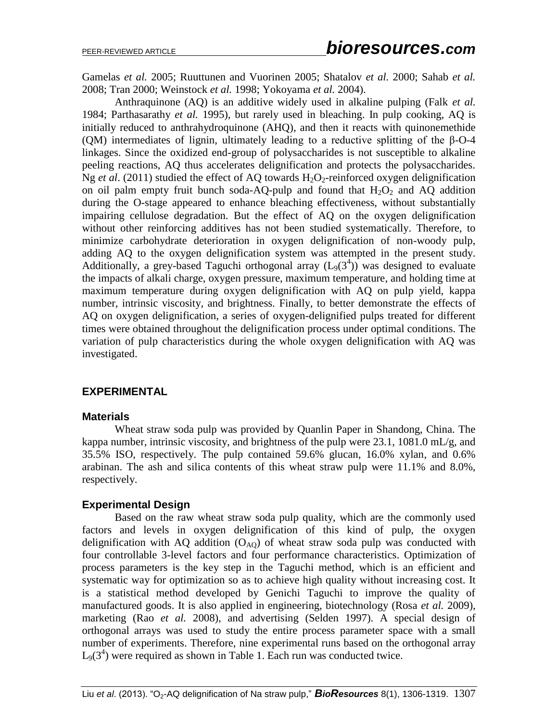Gamelas *et al.* 2005; Ruuttunen and Vuorinen 2005; Shatalov *et al.* 2000; Sahab *et al.* 2008; Tran 2000; Weinstock *et al.* 1998; Yokoyama *et al.* 2004).

Anthraquinone (AQ) is an additive widely used in alkaline pulping (Falk *et al.*  1984; Parthasarathy *et al.* 1995), but rarely used in bleaching. In pulp cooking, AQ is initially reduced to anthrahydroquinone (AHQ), and then it reacts with quinonemethide (QM) intermediates of lignin, ultimately leading to a reductive splitting of the β-O-4 linkages. Since the oxidized end-group of polysaccharides is not susceptible to alkaline peeling reactions, AQ thus accelerates delignification and protects the polysaccharides. Ng *et al.* (2011) studied the effect of AQ towards  $H_2O_2$ -reinforced oxygen delignification on oil palm empty fruit bunch soda-AQ-pulp and found that  $H_2O_2$  and AQ addition during the O-stage appeared to enhance bleaching effectiveness, without substantially impairing cellulose degradation. But the effect of AQ on the oxygen delignification without other reinforcing additives has not been studied systematically. Therefore, to minimize carbohydrate deterioration in oxygen delignification of non-woody pulp, adding AQ to the oxygen delignification system was attempted in the present study. Additionally, a grey-based Taguchi orthogonal array  $(L<sub>9</sub>(3<sup>4</sup>))$  was designed to evaluate the impacts of alkali charge, oxygen pressure, maximum temperature, and holding time at maximum temperature during oxygen delignification with AQ on pulp yield, kappa number, intrinsic viscosity, and brightness. Finally, to better demonstrate the effects of AQ on oxygen delignification, a series of oxygen-delignified pulps treated for different times were obtained throughout the delignification process under optimal conditions. The variation of pulp characteristics during the whole oxygen delignification with AQ was investigated.

## **EXPERIMENTAL**

#### **Materials**

Wheat straw soda pulp was provided by Quanlin Paper in Shandong, China. The kappa number, intrinsic viscosity, and brightness of the pulp were 23.1, 1081.0 mL/g, and 35.5% ISO, respectively. The pulp contained 59.6% glucan, 16.0% xylan, and 0.6% arabinan. The ash and silica contents of this wheat straw pulp were 11.1% and 8.0%, respectively.

#### **Experimental Design**

Based on the raw wheat straw soda pulp quality, which are the commonly used factors and levels in oxygen delignification of this kind of pulp, the oxygen delignification with AQ addition  $(O_{AO})$  of wheat straw soda pulp was conducted with four controllable 3-level factors and four performance characteristics. Optimization of process parameters is the key step in the Taguchi method, which is an efficient and systematic way for optimization so as to achieve high quality without increasing cost. It is a statistical method developed by Genichi Taguchi to improve the quality of manufactured goods. It is also applied in engineering, biotechnology (Rosa *et al.* 2009), marketing (Rao *et al.* 2008), and advertising (Selden 1997). A special design of orthogonal arrays was used to study the entire process parameter space with a small number of experiments. Therefore, nine experimental runs based on the orthogonal array  $L_9(3^4)$  were required as shown in Table 1. Each run was conducted twice.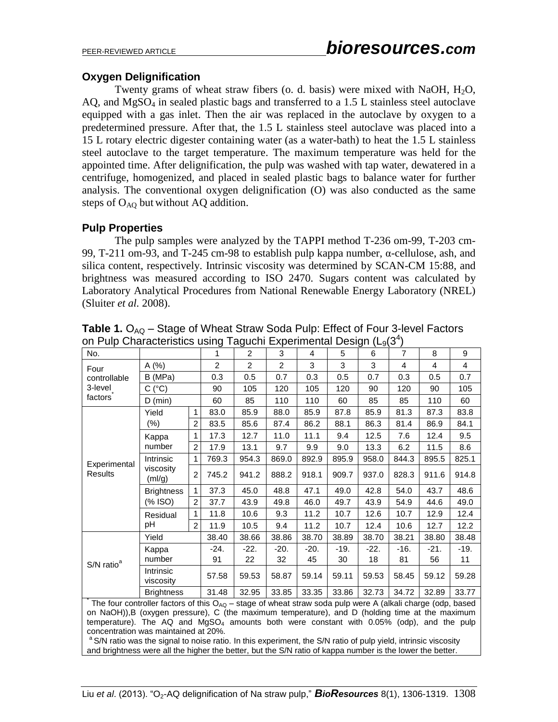## **Oxygen Delignification**

Twenty grams of wheat straw fibers (o. d. basis) were mixed with NaOH,  $H_2O$ ,  $AQ$ , and  $MgSO<sub>4</sub>$  in sealed plastic bags and transferred to a 1.5 L stainless steel autoclave equipped with a gas inlet. Then the air was replaced in the autoclave by oxygen to a predetermined pressure. After that, the 1.5 L stainless steel autoclave was placed into a 15 L rotary electric digester containing water (as a water-bath) to heat the 1.5 L stainless steel autoclave to the target temperature. The maximum temperature was held for the appointed time. After delignification, the pulp was washed with tap water, dewatered in a centrifuge, homogenized, and placed in sealed plastic bags to balance water for further analysis. The conventional oxygen delignification (O) was also conducted as the same steps of  $O_{AO}$  but without AQ addition.

### **Pulp Properties**

The pulp samples were analyzed by the TAPPI method T-236 om-99, T-203 cm-99, T-211 om-93, and T-245 cm-98 to establish pulp kappa number, α-cellulose, ash, and silica content, respectively. Intrinsic viscosity was determined by SCAN-CM 15:88, and brightness was measured according to ISO 2470. Sugars content was calculated by Laboratory Analytical Procedures from National Renewable Energy Laboratory (NREL) (Sluiter *et al.* 2008).

| - ישויי<br>,,,,,,,,,,,,,<br>∽∽…⊿<br>.<br>. .p.<br>>ישיי <i>ו</i> שי |                                  |                |                |                |                |        |        |        |        |                |        |
|---------------------------------------------------------------------|----------------------------------|----------------|----------------|----------------|----------------|--------|--------|--------|--------|----------------|--------|
| No.                                                                 |                                  |                | 1              | 2              | 3              | 4      | 5      | 6      | 7      | 8              | 9      |
| Four                                                                | A(%)                             |                | $\overline{2}$ | $\overline{2}$ | $\overline{2}$ | 3      | 3      | 3      | 4      | $\overline{4}$ | 4      |
| controllable                                                        | B (MPa)                          |                | 0.3            | 0.5            | 0.7            | 0.3    | 0.5    | 0.7    | 0.3    | 0.5            | 0.7    |
| 3-level                                                             | С<br>$(^{\circ}C)$               |                | 90             | 105            | 120            | 105    | 120    | 90     | 120    | 90             | 105    |
| factors                                                             | $D$ (min)                        |                | 60             | 85             | 110            | 110    | 60     | 85     | 85     | 110            | 60     |
|                                                                     | Yield                            | 1              | 83.0           | 85.9           | 88.0           | 85.9   | 87.8   | 85.9   | 81.3   | 87.3           | 83.8   |
|                                                                     | $(\%)$                           | $\overline{2}$ | 83.5           | 85.6           | 87.4           | 86.2   | 88.1   | 86.3   | 81.4   | 86.9           | 84.1   |
|                                                                     | Kappa                            | 1              | 17.3           | 12.7           | 11.0           | 11.1   | 9.4    | 12.5   | 7.6    | 12.4           | 9.5    |
|                                                                     | number                           | $\overline{2}$ | 17.9           | 13.1           | 9.7            | 9.9    | 9.0    | 13.3   | 6.2    | 11.5           | 8.6    |
|                                                                     | Intrinsic<br>viscosity<br>(mI/g) | 1              | 769.3          | 954.3          | 869.0          | 892.9  | 895.9  | 958.0  | 844.3  | 895.5          | 825.1  |
| Experimental<br>Results                                             |                                  | $\overline{2}$ | 745.2          | 941.2          | 888.2          | 918.1  | 909.7  | 937.0  | 828.3  | 911.6          | 914.8  |
|                                                                     | <b>Brightness</b><br>(% ISO)     | 1              | 37.3           | 45.0           | 48.8           | 47.1   | 49.0   | 42.8   | 54.0   | 43.7           | 48.6   |
|                                                                     |                                  | $\overline{2}$ | 37.7           | 43.9           | 49.8           | 46.0   | 49.7   | 43.9   | 54.9   | 44.6           | 49.0   |
|                                                                     | Residual                         | 1              | 11.8           | 10.6           | 9.3            | 11.2   | 10.7   | 12.6   | 10.7   | 12.9           | 12.4   |
|                                                                     | рH                               | 2              | 11.9           | 10.5           | 9.4            | 11.2   | 10.7   | 12.4   | 10.6   | 12.7           | 12.2   |
| S/N ratio <sup>a</sup>                                              | Yield                            |                | 38.40          | 38.66          | 38.86          | 38.70  | 38.89  | 38.70  | 38.21  | 38.80          | 38.48  |
|                                                                     | Kappa                            |                | $-24.$         | $-22.$         | $-20.$         | $-20.$ | $-19.$ | $-22.$ | $-16.$ | -21.           | $-19.$ |
|                                                                     | number                           |                | 91             | 22             | 32             | 45     | 30     | 18     | 81     | 56             | 11     |
|                                                                     | Intrinsic<br>viscosity           |                | 57.58          | 59.53          | 58.87          | 59.14  | 59.11  | 59.53  | 58.45  | 59.12          | 59.28  |
|                                                                     | <b>Brightness</b>                |                | 31.48          | 32.95          | 33.85          | 33.35  | 33.86  | 32.73  | 34.72  | 32.89          | 33.77  |

Table 1. O<sub>AQ</sub> – Stage of Wheat Straw Soda Pulp: Effect of Four 3-level Factors on Pulp Characteristics using Taguchi Experimental Design ( $L_9(3^4)$ 

\* The four controller factors of this  $O_{AQ}$  – stage of wheat straw soda pulp were A (alkali charge (odp, based on NaOH)),B (oxygen pressure), C (the maximum temperature), and D (holding time at the maximum temperature). The AQ and MgSO<sub>4</sub> amounts both were constant with  $0.05\%$  (odp), and the pulp concentration was maintained at 20%.

<sup>a</sup> S/N ratio was the signal to noise ratio. In this experiment, the S/N ratio of pulp yield, intrinsic viscosity and brightness were all the higher the better, but the S/N ratio of kappa number is the lower the better.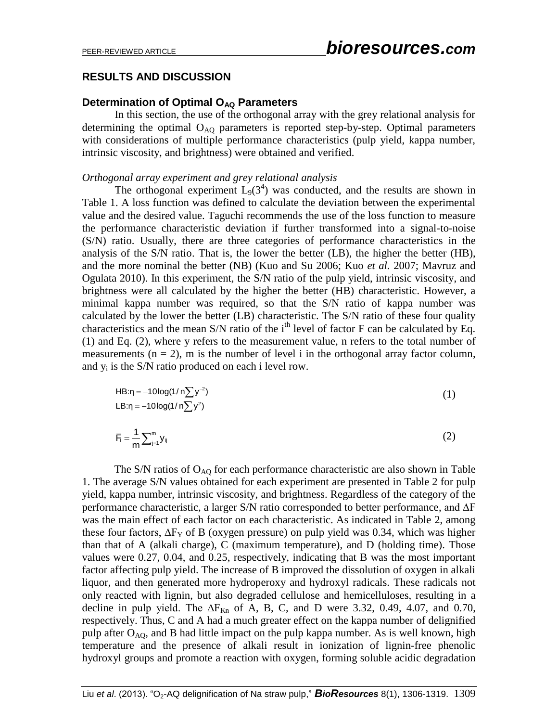## **RESULTS AND DISCUSSION**

#### **Determination of Optimal O<sub>AQ</sub> Parameters**

In this section, the use of the orthogonal array with the grey relational analysis for determining the optimal  $O_{AQ}$  parameters is reported step-by-step. Optimal parameters with considerations of multiple performance characteristics (pulp yield, kappa number, intrinsic viscosity, and brightness) were obtained and verified.

#### *Orthogonal array experiment and grey relational analysis*

The orthogonal experiment  $L_9(3^4)$  was conducted, and the results are shown in Table 1. A loss function was defined to calculate the deviation between the experimental value and the desired value. Taguchi recommends the use of the loss function to measure the performance characteristic deviation if further transformed into a signal-to-noise (S/N) ratio. Usually, there are three categories of performance characteristics in the analysis of the S/N ratio. That is, the lower the better (LB), the higher the better (HB), and the more nominal the better (NB) (Kuo and Su 2006; Kuo *et al.* 2007; Mavruz and Ogulata 2010). In this experiment, the S/N ratio of the pulp yield, intrinsic viscosity, and brightness were all calculated by the higher the better (HB) characteristic. However, a minimal kappa number was required, so that the S/N ratio of kappa number was calculated by the lower the better (LB) characteristic. The S/N ratio of these four quality characteristics and the mean S/N ratio of the i<sup>th</sup> level of factor F can be calculated by Eq. (1) and Eq. (2), where y refers to the measurement value, n refers to the total number of measurements  $(n = 2)$ , m is the number of level i in the orthogonal array factor column, and  $y_i$  is the S/N ratio produced on each i level row.

$$
HB:n = -10\log(1/n\sum y^{-2})
$$
  
LB:n = -10log(1/n\sum y^{2}) (1)

$$
\overline{F}_i = \frac{1}{m} \sum_{j=1}^m y_{ij} \tag{2}
$$

The S/N ratios of  $O_{AO}$  for each performance characteristic are also shown in Table 1. The average S/N values obtained for each experiment are presented in Table 2 for pulp yield, kappa number, intrinsic viscosity, and brightness. Regardless of the category of the performance characteristic, a larger S/N ratio corresponded to better performance, and ∆F was the main effect of each factor on each characteristic. As indicated in Table 2, among these four factors,  $\Delta F_Y$  of B (oxygen pressure) on pulp yield was 0.34, which was higher than that of A (alkali charge), C (maximum temperature), and D (holding time). Those values were 0.27, 0.04, and 0.25, respectively, indicating that B was the most important factor affecting pulp yield. The increase of B improved the dissolution of oxygen in alkali liquor, and then generated more hydroperoxy and hydroxyl radicals. These radicals not only reacted with lignin, but also degraded cellulose and hemicelluloses, resulting in a decline in pulp yield. The  $\Delta F_{Kn}$  of A, B, C, and D were 3.32, 0.49, 4.07, and 0.70, respectively. Thus, C and A had a much greater effect on the kappa number of delignified pulp after  $O_{AO}$ , and B had little impact on the pulp kappa number. As is well known, high temperature and the presence of alkali result in ionization of lignin-free phenolic hydroxyl groups and promote a reaction with oxygen, forming soluble acidic degradation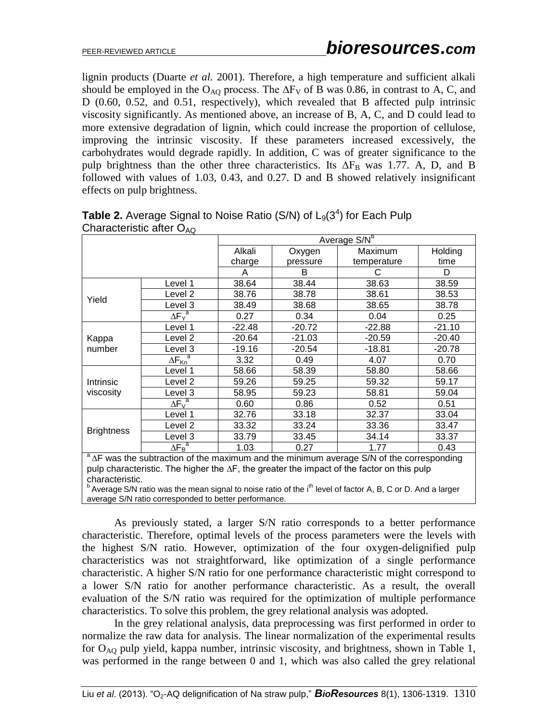lignin products (Duarte *et al.* 2001). Therefore, a high temperature and sufficient alkali should be employed in the O<sub>AO</sub> process. The  $\Delta F_V$  of B was 0.86, in contrast to A, C, and D (0.60, 0.52, and 0.51, respectively), which revealed that B affected pulp intrinsic viscosity significantly. As mentioned above, an increase of B, A, C, and D could lead to more extensive degradation of lignin, which could increase the proportion of cellulose, improving the intrinsic viscosity. If these parameters increased excessively, the carbohydrates would degrade rapidly. In addition, C was of greater significance to the pulp brightness than the other three characteristics. Its  $\Delta F_B$  was 1.77. A, D, and B followed with values of 1.03, 0.43, and 0.27. D and B showed relatively insignificant effects on pulp brightness.

| $O$ $\alpha$ $O$ $\alpha$ $O$ $\alpha$ $O$ $\alpha$ $O$ $\alpha$ $O$ |                           |                          |          |             |          |  |  |  |
|----------------------------------------------------------------------|---------------------------|--------------------------|----------|-------------|----------|--|--|--|
|                                                                      |                           | Average S/N <sup>b</sup> |          |             |          |  |  |  |
|                                                                      |                           | Alkali                   | Oxygen   | Maximum     | Holding  |  |  |  |
|                                                                      |                           | charge                   | pressure | temperature | time     |  |  |  |
|                                                                      |                           | A                        | B        | С           | D        |  |  |  |
|                                                                      | Level 1                   | 38.64                    | 38.44    | 38.63       | 38.59    |  |  |  |
| Yield                                                                | Level <sub>2</sub>        | 38.76                    | 38.78    | 38.61       | 38.53    |  |  |  |
|                                                                      | Level 3                   | 38.49                    | 38.68    | 38.65       | 38.78    |  |  |  |
|                                                                      | $\Delta F_{Y}^{a}$        | 0.27                     | 0.34     | 0.04        | 0.25     |  |  |  |
|                                                                      | Level 1                   | $-22.48$                 | $-20.72$ | $-22.88$    | $-21.10$ |  |  |  |
| Kappa                                                                | Level 2                   | $-20.64$                 | $-21.03$ | $-20.59$    | $-20.40$ |  |  |  |
| number                                                               | Level 3                   | $-19.16$                 | $-20.54$ | $-18.81$    | $-20.78$ |  |  |  |
|                                                                      | $\Delta F_{Kn}^{\quad a}$ | 3.32                     | 0.49     | 4.07        | 0.70     |  |  |  |
|                                                                      | Level 1                   | 58.66                    | 58.39    | 58.80       | 58.66    |  |  |  |
| Intrinsic                                                            | Level 2                   | 59.26                    | 59.25    | 59.32       | 59.17    |  |  |  |
| viscosity                                                            | Level 3                   | 58.95                    | 59.23    | 58.81       | 59.04    |  |  |  |
|                                                                      | $\Delta F_v^a$            | 0.60                     | 0.86     | 0.52        | 0.51     |  |  |  |
|                                                                      | Level 1                   | 32.76                    | 33.18    | 32.37       | 33.04    |  |  |  |
| <b>Brightness</b>                                                    | Level 2                   | 33.32                    | 33.24    | 33.36       | 33.47    |  |  |  |
|                                                                      | Level 3                   | 33.79                    | 33.45    | 34.14       | 33.37    |  |  |  |
|                                                                      | $\Delta F_B^a$            | 1.03                     | 0.27     | 1.77        | 0.43     |  |  |  |
| $\overline{\phantom{a}}$                                             |                           |                          |          |             |          |  |  |  |

**Table 2.** Average Signal to Noise Ratio  $(S/N)$  of  $L_9(3^4)$  for Each Pulp Characteristic after  $O_{\text{AO}}$ 

<sup>a</sup>∆F was the subtraction of the maximum and the minimum average S/N of the [corresponding](app:ds:corresponding) pulp characteristic. The higher the ∆F, the greater the impact of the factor on this pulp characteristic.

 $b$  Average S/N ratio was the mean signal to noise ratio of the i<sup>th</sup> level of factor A, B, C or D. And a larger average S/N ratio corresponded to better performance.

As previously stated, a larger S/N ratio corresponds to a better performance characteristic. Therefore, optimal levels of the process parameters were the levels with the highest S/N ratio. However, optimization of the four oxygen-delignified pulp characteristics was not straightforward, like optimization of a single performance characteristic. A higher S/N ratio for one performance characteristic might correspond to a lower S/N ratio for another performance characteristic. As a result, the overall evaluation of the S/N ratio was required for the optimization of multiple performance characteristics. To solve this problem, the grey relational analysis was adopted.

In the grey relational analysis, data preprocessing was first performed in order to normalize the raw data for analysis. The linear normalization of the experimental results for  $O_{AO}$  pulp yield, kappa number, intrinsic viscosity, and brightness, shown in Table 1, was performed in the range between 0 and 1, which was also called the grey relational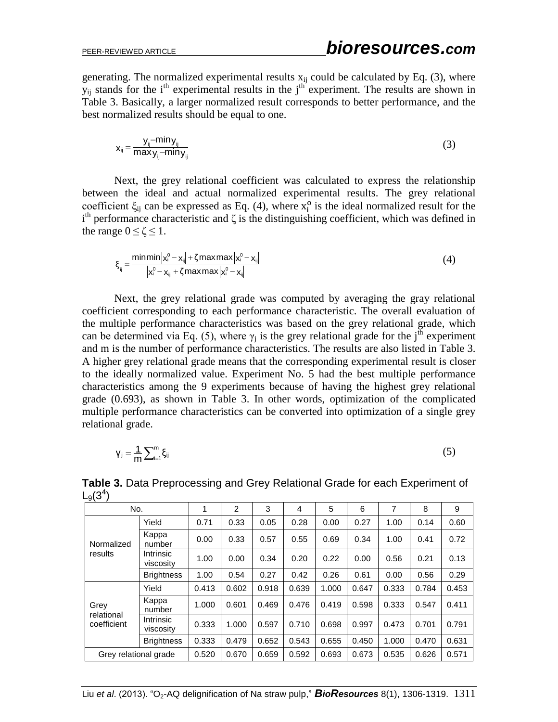generating. The normalized experimental results  $x_{ij}$  could be calculated by Eq. (3), where  $y_{ii}$  stands for the  $i<sup>th</sup>$  experimental results in the  $j<sup>th</sup>$  experiment. The results are shown in Table 3. Basically, a larger normalized result corresponds to better performance, and the best normalized results should be equal to one.

$$
x_{ij} = \frac{y_{ij} - \min y_{ij}}{\max y_{ij} - \min y_{ij}}
$$
 (3)

Next, the grey relational coefficient was calculated to express the relationship between the ideal and actual normalized experimental results. The grey relational coefficient  $\xi_{ij}$  can be expressed as Eq. (4), where  $x_i^0$  is the ideal normalized result for the  $i<sup>th</sup>$  performance characteristic and  $\zeta$  is the distinguishing coefficient, which was defined in the range  $0 \le \zeta \le 1$ .

$$
\xi_{ij} = \frac{\text{minmin} \left| \mathbf{x}_i^0 - \mathbf{x}_{ij} \right| + \zeta \text{maxmax} \left| \mathbf{x}_i^0 - \mathbf{x}_{ij} \right|}{\left| \mathbf{x}_i^0 - \mathbf{x}_{ij} \right| + \zeta \text{maxmax} \left| \mathbf{x}_i^0 - \mathbf{x}_{ij} \right|}
$$
(4)

Next, the grey relational grade was computed by averaging the gray relational coefficient corresponding to each performance characteristic. The overall evaluation of the multiple performance characteristics was based on the grey relational grade, which can be determined via Eq. (5), where  $\gamma_i$  is the grey relational grade for the j<sup>th</sup> experiment and m is the number of performance characteristics. The results are also listed in Table 3. A higher grey relational grade means that the corresponding experimental result is closer to the ideally normalized value. Experiment No. 5 had the best multiple performance characteristics among the 9 experiments because of having the highest grey relational grade (0.693), as shown in Table 3. In other words, optimization of the complicated multiple performance characteristics can be converted into optimization of a single grey relational grade.

$$
\gamma_j = \frac{1}{m} \sum_{i=1}^{m} \xi_{ij} \tag{5}
$$

| No.                               |                               | 1     | $\overline{2}$ | 3     | $\overline{4}$ | 5     | 6     | 7     | 8     | 9     |
|-----------------------------------|-------------------------------|-------|----------------|-------|----------------|-------|-------|-------|-------|-------|
| Normalized<br>results             | Yield                         | 0.71  | 0.33           | 0.05  | 0.28           | 0.00  | 0.27  | 1.00  | 0.14  | 0.60  |
|                                   | Kappa<br>number               | 0.00  | 0.33           | 0.57  | 0.55           | 0.69  | 0.34  | 1.00  | 0.41  | 0.72  |
|                                   | Intrinsic<br>viscosity        | 1.00  | 0.00           | 0.34  | 0.20           | 0.22  | 0.00  | 0.56  | 0.21  | 0.13  |
|                                   | <b>Brightness</b>             | 1.00  | 0.54           | 0.27  | 0.42           | 0.26  | 0.61  | 0.00  | 0.56  | 0.29  |
| Grey<br>relational<br>coefficient | Yield                         | 0.413 | 0.602          | 0.918 | 0.639          | 1.000 | 0.647 | 0.333 | 0.784 | 0.453 |
|                                   | Kappa<br>number               | 1.000 | 0.601          | 0.469 | 0.476          | 0.419 | 0.598 | 0.333 | 0.547 | 0.411 |
|                                   | <b>Intrinsic</b><br>viscosity | 0.333 | 1.000          | 0.597 | 0.710          | 0.698 | 0.997 | 0.473 | 0.701 | 0.791 |
|                                   | <b>Brightness</b>             | 0.333 | 0.479          | 0.652 | 0.543          | 0.655 | 0.450 | 1.000 | 0.470 | 0.631 |
| Grey relational grade             |                               | 0.520 | 0.670          | 0.659 | 0.592          | 0.693 | 0.673 | 0.535 | 0.626 | 0.571 |

**Table 3.** Data Preprocessing and Grey Relational Grade for each Experiment of  $L_9(3^4)$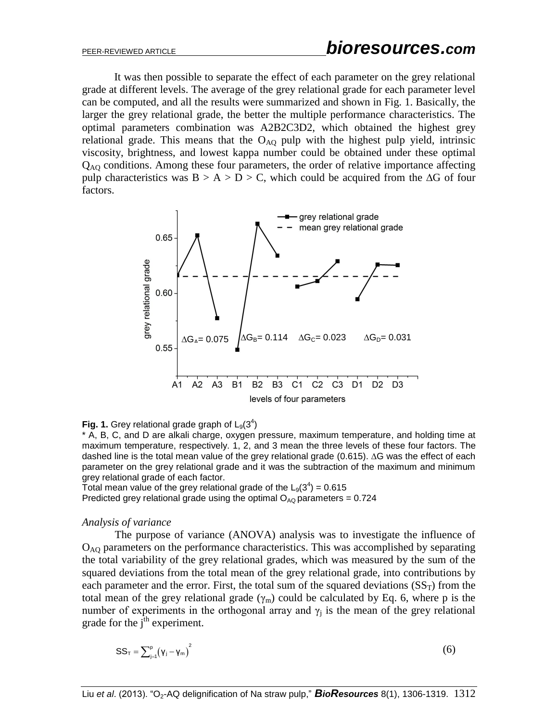It was then possible to separate the effect of each parameter on the grey relational grade at different levels. The average of the grey relational grade for each parameter level can be computed, and all the results were summarized and shown in Fig. 1. Basically, the larger the grey relational grade, the better the multiple performance characteristics. The optimal parameters combination was A2B2C3D2, which obtained the highest grey relational grade. This means that the  $O_{AO}$  pulp with the highest pulp yield, intrinsic viscosity, brightness, and lowest kappa number could be obtained under these optimal  $Q_{AO}$  conditions. Among these four parameters, the order of relative importance affecting pulp characteristics was  $B > A > D > C$ , which could be acquired from the ∆G of four factors.



## Fig. 1. Grey relational grade graph of  $L_9(3^4)$

\* A, B, C, and D are alkali charge, oxygen pressure, maximum temperature, and holding time at maximum temperature, respectively. 1, 2, and 3 mean the three levels of these four factors. The dashed line is the total mean value of the grey relational grade (0.615). ∆G was the effect of each parameter on the grey relational grade and it was the subtraction of the maximum and minimum grey relational grade of each factor.

Total mean value of the grey relational grade of the  $L_9(3^4)$  = 0.615 Predicted grey relational grade using the optimal  $O_{AQ}$  parameters = 0.724

#### *Analysis of variance*

The purpose of variance (ANOVA) analysis was to investigate the influence of  $O<sub>AO</sub>$  parameters on the performance characteristics. This was accomplished by separating the total variability of the grey relational grades, which was measured by the sum of the squared deviations from the total mean of the grey relational grade, into contributions by each parameter and the error. First, the total sum of the squared deviations  $(SS_T)$  from the total mean of the grey relational grade  $(\gamma_m)$  could be calculated by Eq. 6, where p is the number of experiments in the orthogonal array and  $\gamma_i$  is the mean of the grey relational grade for the  $i<sup>th</sup>$  experiment.

$$
SS_{T} = \sum_{j=1}^{p} (\gamma_{j} - \gamma_{m})^{2}
$$
 (6)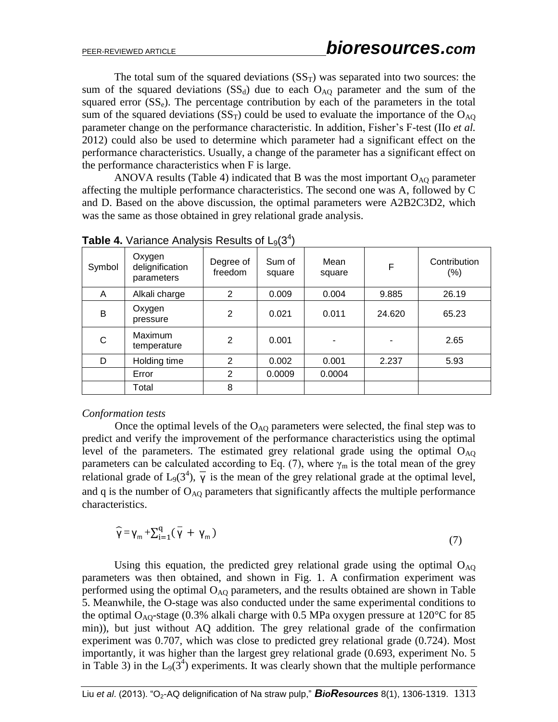The total sum of the squared deviations  $(SS<sub>T</sub>)$  was separated into two sources: the sum of the squared deviations  $(SS_d)$  due to each  $O_{AQ}$  parameter and the sum of the squared error  $(SS_e)$ . The percentage contribution by each of the parameters in the total sum of the squared deviations  $(SS_T)$  could be used to evaluate the importance of the  $O_{AO}$ parameter change on the performance characteristic. In addition, Fisher's F-test (IIo *et al.* 2012) could also be used to determine which parameter had a significant effect on the performance characteristics. Usually, a change of the parameter has a significant effect on the performance characteristics when F is large.

ANOVA results (Table 4) indicated that B was the most important  $O_{AO}$  parameter affecting the multiple performance characteristics. The second one was A, followed by C and D. Based on the above discussion, the optimal parameters were A2B2C3D2, which was the same as those obtained in grey relational grade analysis.

| Symbol | Oxygen<br>delignification<br>parameters | Degree of<br>freedom | Sum of<br>square | Mean<br>square | F      | Contribution<br>$(\% )$ |
|--------|-----------------------------------------|----------------------|------------------|----------------|--------|-------------------------|
| A      | Alkali charge                           | 2                    | 0.009            | 0.004          | 9.885  | 26.19                   |
| B      | Oxygen<br>pressure                      | $\overline{2}$       | 0.021            | 0.011          | 24.620 | 65.23                   |
| С      | Maximum<br>temperature                  | 2                    | 0.001            |                |        | 2.65                    |
| D      | Holding time                            | 2                    | 0.002            | 0.001          | 2.237  | 5.93                    |
|        | Error                                   | 2                    | 0.0009           | 0.0004         |        |                         |
|        | Total                                   | 8                    |                  |                |        |                         |

**Table 4.** Variance Analysis Results of  $L_9(3^4)$ 

#### *Conformation tests*

Once the optimal levels of the  $O_{AO}$  parameters were selected, the final step was to predict and verify the improvement of the performance characteristics using the optimal level of the parameters. The estimated grey relational grade using the optimal  $O_{AO}$ parameters can be calculated according to Eq. (7), where  $\gamma_m$  is the total mean of the grey relational grade of  $L_9(3^4)$ ,  $\overline{y}$  is the mean of the grey relational grade at the optimal level, and q is the number of  $O_{AO}$  parameters that significantly affects the multiple performance characteristics.

$$
\widehat{\gamma} = \gamma_m + \sum_{i=1}^{q} (\overline{\gamma} + \gamma_m) \tag{7}
$$

Using this equation, the predicted grey relational grade using the optimal  $O_{AO}$ parameters was then obtained, and shown in Fig. 1. A confirmation experiment was performed using the optimal  $O_{AO}$  parameters, and the results obtained are shown in Table 5. Meanwhile, the O-stage was also conducted under the same experimental conditions to the optimal O<sub>AO</sub>-stage (0.3% alkali charge with 0.5 MPa oxygen pressure at  $120^{\circ}$ C for 85 min)), but just without AQ addition. The grey relational grade of the confirmation experiment was 0.707, which was close to predicted grey relational grade (0.724). Most importantly, it was higher than the largest grey relational grade (0.693, experiment No. 5 in Table 3) in the  $L_9(3^4)$  experiments. It was clearly shown that the multiple performance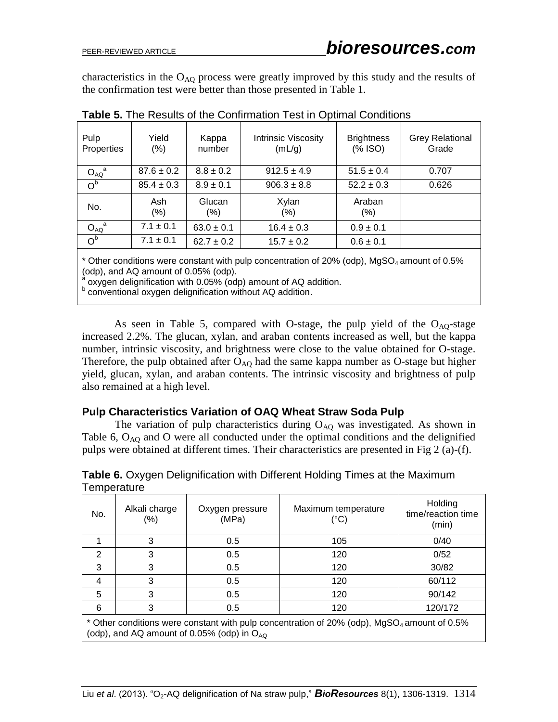characteristics in the  $O_{AQ}$  process were greatly improved by this study and the results of the confirmation test were better than those presented in Table 1.

| Pulp<br>Properties | Yield<br>(% )  | Kappa<br>number  | Intrinsic Viscosity<br>(mL/g) | <b>Brightness</b><br>$(% \mathcal{L}_{0})$ (% ISO) | <b>Grey Relational</b><br>Grade |
|--------------------|----------------|------------------|-------------------------------|----------------------------------------------------|---------------------------------|
| $O_{AQ}^a$         | $87.6 \pm 0.2$ | $8.8 \pm 0.2$    | $912.5 \pm 4.9$               | $51.5 \pm 0.4$                                     | 0.707                           |
| O <sup>b</sup>     | $85.4 \pm 0.3$ | $8.9 \pm 0.1$    | $906.3 \pm 8.8$               | $52.2 \pm 0.3$                                     | 0.626                           |
| No.                | Ash<br>$(\% )$ | Glucan<br>$(\%)$ | Xylan<br>$(\% )$              | Araban<br>(%)                                      |                                 |
| $O_{AQ}^a$         | $7.1 \pm 0.1$  | $63.0 \pm 0.1$   | $16.4 \pm 0.3$                | $0.9 \pm 0.1$                                      |                                 |
| O <sup>b</sup>     | $7.1 \pm 0.1$  | $62.7 \pm 0.2$   | $15.7 \pm 0.2$                | $0.6 \pm 0.1$                                      |                                 |

**Table 5.** The Results of the Confirmation Test in Optimal Conditions

 $*$  Other conditions were constant with pulp concentration of 20% (odp), MgSO<sub>4</sub> amount of 0.5% (odp), and AQ amount of 0.05% (odp).

a oxygen delignification with 0.05% (odp) amount of AQ addition.

**b** conventional oxygen delignification without AQ addition.

As seen in Table 5, compared with O-stage, the pulp yield of the  $O_{AO}$ -stage increased 2.2%. The glucan, xylan, and araban contents increased as well, but the kappa number, intrinsic viscosity, and brightness were close to the value obtained for O-stage. Therefore, the pulp obtained after  $O_{AO}$  had the same kappa number as O-stage but higher yield, glucan, xylan, and araban contents. The intrinsic viscosity and brightness of pulp also remained at a high level.

## **Pulp Characteristics Variation of OAQ Wheat Straw Soda Pulp**

The variation of pulp characteristics during  $O_{AO}$  was investigated. As shown in Table 6,  $O_{AO}$  and O were all conducted under the optimal conditions and the delignified pulps were obtained at different times. Their characteristics are presented in Fig 2 (a)-(f).

| No.                                                                                                     | Alkali charge<br>$(\% )$ | Oxygen pressure<br>(MPa) | Maximum temperature<br>(°C) | Holding<br>time/reaction time<br>(min) |  |  |  |
|---------------------------------------------------------------------------------------------------------|--------------------------|--------------------------|-----------------------------|----------------------------------------|--|--|--|
|                                                                                                         | 3                        | 0.5                      | 105                         | 0/40                                   |  |  |  |
| 2                                                                                                       | 3                        | 0.5                      | 120                         | 0/52                                   |  |  |  |
| 3                                                                                                       | 3                        | 0.5                      | 120                         | 30/82                                  |  |  |  |
| $\overline{4}$                                                                                          | 3                        | 0.5                      | 120                         | 60/112                                 |  |  |  |
| 5                                                                                                       | 3                        | 0.5                      | 120                         | 90/142                                 |  |  |  |
| 6                                                                                                       |                          | 0.5                      | 120                         | 120/172                                |  |  |  |
| * Other conditions were constant with pulp concentration of 20% (odp), MgSO <sub>4</sub> amount of 0.5% |                          |                          |                             |                                        |  |  |  |

**Table 6.** Oxygen Delignification with Different Holding Times at the Maximum **Temperature** 

 $\mid$  (odp), and AQ amount of 0.05% (odp) in O<sub>AQ</sub>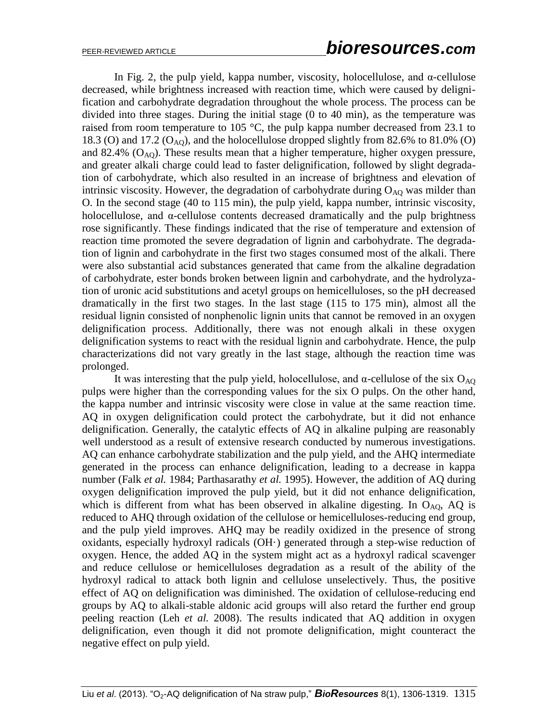In Fig. 2, the pulp yield, kappa number, viscosity, holocellulose, and  $\alpha$ -cellulose decreased, while brightness increased with reaction time, which were caused by delignification and carbohydrate degradation throughout the whole process. The process can be divided into three stages. During the initial stage (0 to 40 min), as the temperature was raised from room temperature to 105  $^{\circ}$ C, the pulp kappa number decreased from 23.1 to 18.3 (O) and 17.2 ( $O_{AO}$ ), and the holocellulose dropped slightly from 82.6% to 81.0% (O) and 82.4%  $(O_{AO})$ . These results mean that a higher temperature, higher oxygen pressure, and greater alkali charge could lead to faster delignification, followed by slight degradation of carbohydrate, which also resulted in an increase of brightness and elevation of intrinsic viscosity. However, the degradation of carbohydrate during  $O_{AQ}$  was milder than O. In the second stage (40 to 115 min), the pulp yield, kappa number, intrinsic viscosity, holocellulose, and α-cellulose contents decreased dramatically and the pulp brightness rose significantly. These findings indicated that the rise of temperature and extension of reaction time promoted the severe degradation of lignin and carbohydrate. The degradation of lignin and carbohydrate in the first two stages consumed most of the alkali. There were also substantial acid substances generated that came from the alkaline degradation of carbohydrate, ester bonds broken between lignin and carbohydrate, and the hydrolyzation of uronic acid substitutions and acetyl groups on hemicelluloses, so the pH decreased dramatically in the first two stages. In the last stage (115 to 175 min), almost all the residual lignin consisted of nonphenolic lignin units that cannot be removed in an oxygen delignification process. Additionally, there was not enough alkali in these oxygen delignification systems to react with the residual lignin and carbohydrate. Hence, the pulp characterizations did not vary greatly in the last stage, although the reaction time was prolonged.

It was interesting that the pulp yield, holocellulose, and  $\alpha$ -cellulose of the six  $O_{AO}$ pulps were higher than the corresponding values for the six O pulps. On the other hand, the kappa number and intrinsic viscosity were close in value at the same reaction time. AQ in oxygen delignification could protect the carbohydrate, but it did not enhance delignification. Generally, the catalytic effects of AQ in alkaline pulping are reasonably well understood as a result of extensive research conducted by numerous investigations. AQ can enhance carbohydrate stabilization and the pulp yield, and the AHQ intermediate generated in the process can enhance delignification, leading to a decrease in kappa number (Falk *et al.* 1984; Parthasarathy *et al.* 1995). However, the addition of AQ during oxygen delignification improved the pulp yield, but it did not enhance delignification, which is different from what has been observed in alkaline digesting. In  $O<sub>AQ</sub>$ , AQ is reduced to AHQ through oxidation of the cellulose or hemicelluloses-reducing end group, and the pulp yield improves. AHQ may be readily oxidized in the presence of strong oxidants, especially hydroxyl radicals  $(OH)$  generated through a step-wise reduction of oxygen. Hence, the added AQ in the system might act as a hydroxyl radical scavenger and reduce cellulose or hemicelluloses degradation as a result of the ability of the hydroxyl radical to attack both lignin and cellulose unselectively. Thus, the positive effect of AQ on delignification was diminished. The oxidation of cellulose-reducing end groups by AQ to alkali-stable aldonic acid groups will also retard the further end group peeling reaction (Leh *et al.* 2008). The results indicated that AQ addition in oxygen delignification, even though it did not promote delignification, might counteract the negative effect on pulp yield.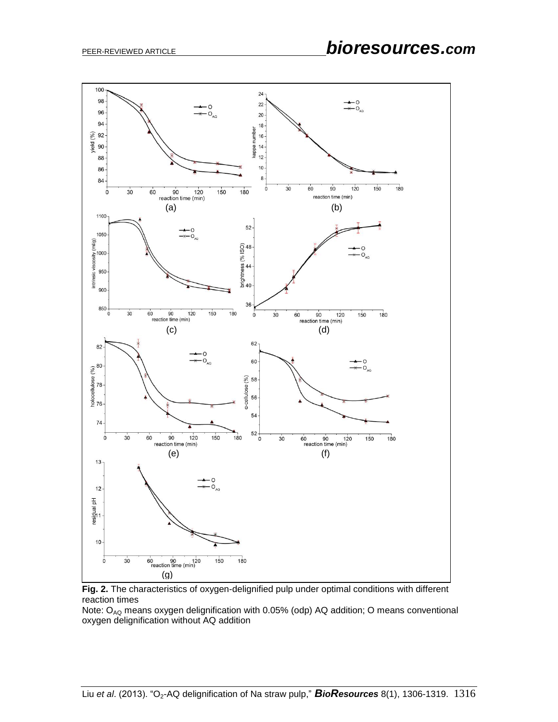

**Fig. 2.** The characteristics of oxygen-delignified pulp under optimal conditions with different reaction times

Note:  $O_{AQ}$  means oxygen delignification with 0.05% (odp) AQ addition; O means conventional oxygen delignification without AQ addition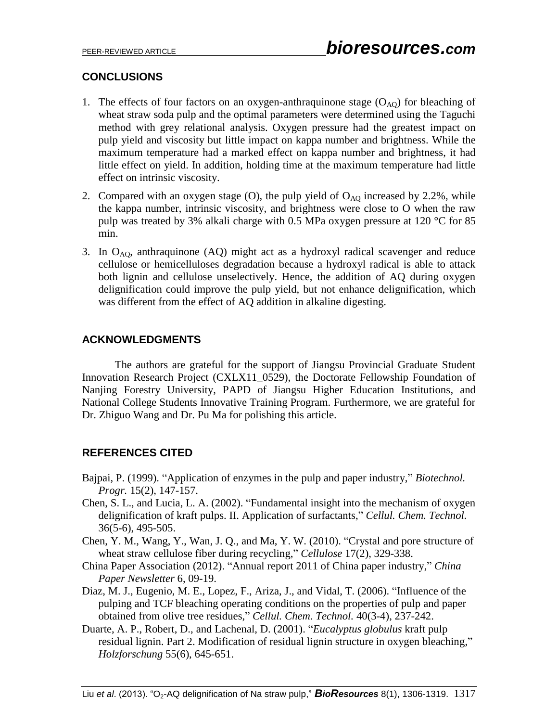## **CONCLUSIONS**

- 1. The effects of four factors on an oxygen-anthraquinone stage  $(O_{AQ})$  for bleaching of wheat straw soda pulp and the optimal parameters were determined using the Taguchi method with grey relational analysis. Oxygen pressure had the greatest impact on pulp yield and viscosity but little impact on kappa number and brightness. While the maximum temperature had a marked effect on kappa number and brightness, it had little effect on yield. In addition, holding time at the maximum temperature had little effect on intrinsic viscosity.
- 2. Compared with an oxygen stage  $(O)$ , the pulp yield of  $O_{AO}$  increased by 2.2%, while the kappa number, intrinsic viscosity, and brightness were close to O when the raw pulp was treated by 3% alkali charge with 0.5 MPa oxygen pressure at 120 °C for 85 min.
- 3. In  $O_{AO}$ , anthraquinone (AQ) might act as a hydroxyl radical scavenger and reduce cellulose or hemicelluloses degradation because a hydroxyl radical is able to attack both lignin and cellulose unselectively. Hence, the addition of AQ during oxygen delignification could improve the pulp yield, but not enhance delignification, which was different from the effect of AQ addition in alkaline digesting.

## **ACKNOWLEDGMENTS**

The authors are grateful for the support of Jiangsu Provincial Graduate Student Innovation Research Project (CXLX11\_0529), the Doctorate Fellowship Foundation of Nanjing Forestry University, PAPD of Jiangsu Higher Education Institutions, and National College Students Innovative Training Program. Furthermore, we are grateful for Dr. Zhiguo Wang and Dr. Pu Ma for polishing this article.

## **REFERENCES CITED**

- Bajpai, P. (1999). "Application of enzymes in the pulp and paper industry," *Biotechnol. Progr.* 15(2), 147-157.
- Chen, S. L., and Lucia, L. A. (2002). "Fundamental insight into the mechanism of oxygen delignification of kraft pulps. II. Application of surfactants," *Cellul. Chem. Technol.*  36(5-6), 495-505.
- Chen, Y. M., Wang, Y., Wan, J. Q., and Ma, Y. W. (2010). "Crystal and pore structure of wheat straw cellulose fiber during recycling," *Cellulose* 17(2), 329-338.
- China Paper Association (2012). "Annual report 2011 of China paper industry," *China Paper Newsletter* 6, 09-19.
- Diaz, M. J., Eugenio, M. E., Lopez, F., Ariza, J., and Vidal, T. (2006). "Influence of the pulping and TCF bleaching operating conditions on the properties of pulp and paper obtained from olive tree residues," *Cellul. Chem. Technol.* 40(3-4), 237-242.
- Duarte, A. P., Robert, D., and Lachenal, D. (2001). "*Eucalyptus globulus* kraft pulp residual lignin. Part 2. Modification of residual lignin structure in oxygen bleaching," *Holzforschung* 55(6), 645-651.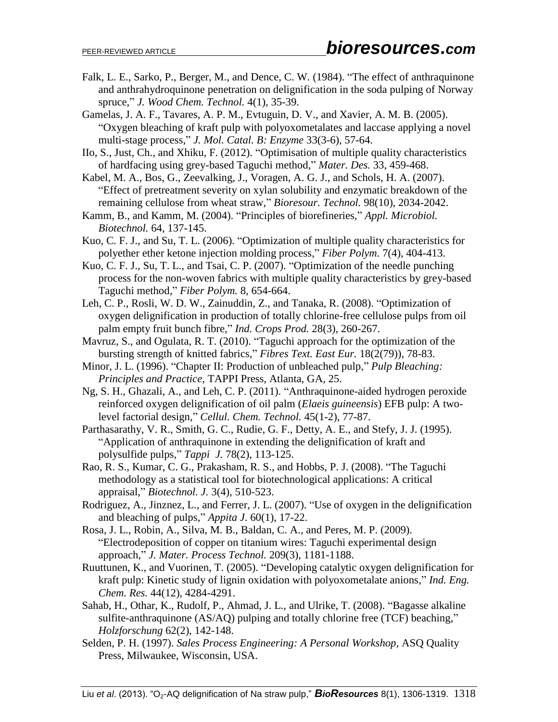- Falk, L. E., Sarko, P., Berger, M., and Dence, C. W. (1984). "The effect of anthraquinone and anthrahydroquinone penetration on delignification in the soda pulping of Norway spruce," *J. Wood Chem. Technol.* 4(1), 35-39.
- Gamelas, J. A. F., Tavares, A. P. M., Evtuguin, D. V., and Xavier, A. M. B. (2005). "Oxygen bleaching of kraft pulp with polyoxometalates and laccase applying a novel multi-stage process," *J. Mol. Catal. B: Enzyme* 33(3-6), 57-64.
- IIo, S., Just, Ch., and Xhiku, F. (2012). "Optimisation of multiple quality characteristics of hardfacing using grey-based Taguchi method," *Mater. Des.* 33, 459-468.
- Kabel, M. A., Bos, G., Zeevalking, J., Voragen, A. G. J., and Schols, H. A. (2007). "Effect of pretreatment severity on xylan solubility and enzymatic breakdown of the remaining cellulose from wheat straw," *Bioresour. Technol.* 98(10), 2034-2042.
- Kamm, B., and Kamm, M. (2004). "Principles of biorefineries," *Appl. Microbiol. Biotechnol.* 64, 137-145.
- Kuo, C. F. J., and Su, T. L. (2006). "Optimization of multiple quality characteristics for polyether ether ketone injection molding process," *Fiber Polym.* 7(4), 404-413.
- Kuo, C. F. J., Su, T. L., and Tsai, C. P. (2007). "Optimization of the needle punching process for the non-woven fabrics with multiple quality characteristics by grey-based Taguchi method," *Fiber Polym.* 8, 654-664.
- Leh, C. P., Rosli, W. D. W., Zainuddin, Z., and Tanaka, R. (2008). "Optimization of oxygen delignification in production of totally chlorine-free cellulose pulps from oil palm empty fruit bunch fibre," *Ind. Crops Prod.* 28(3), 260-267.
- Mavruz, S., and Ogulata, R. T. (2010). "Taguchi approach for the optimization of the bursting strength of knitted fabrics," *Fibres Text. East Eur.* 18(2(79)), 78-83.
- Minor, J. L. (1996). "Chapter II: Production of unbleached pulp," *Pulp Bleaching: Principles and Practice*, TAPPI Press, Atlanta, GA, 25.
- Ng, S. H., Ghazali, A., and Leh, C. P. (2011). "Anthraquinone-aided hydrogen peroxide reinforced oxygen delignification of oil palm (*Elaeis guineensis*) EFB pulp: A twolevel factorial design," *Cellul. Chem. Technol.* 45(1-2), 77-87.
- Parthasarathy, V. R., Smith, G. C., Rudie, G. F., Detty, A. E., and Stefy, J. J. (1995). "Application of anthraquinone in extending the delignification of kraft and polysulfide pulps," *Tappi J.* 78(2), 113-125.
- Rao, R. S., Kumar, C. G., Prakasham, R. S., and Hobbs, P. J. (2008). "The Taguchi methodology as a statistical tool for biotechnological applications: A critical appraisal," *Biotechnol. J.* 3(4), 510-523.
- Rodriguez, A., Jinznez, L., and Ferrer, J. L. (2007). "Use of oxygen in the delignification and bleaching of pulps," *Appita J*. 60(1), 17-22.
- Rosa, J. L., Robin, A., Silva, M. B., Baldan, C. A., and Peres, M. P. (2009). "Electrodeposition of copper on titanium wires: Taguchi experimental design approach," *J. Mater. Process Technol.* 209(3), 1181-1188.
- Ruuttunen, K., and Vuorinen, T. (2005). "Developing catalytic oxygen delignification for kraft pulp: Kinetic study of lignin oxidation with polyoxometalate anions," *Ind. Eng. Chem. Res.* 44(12), 4284-4291.
- Sahab, H., Othar, K., Rudolf, P., Ahmad, J. L., and Ulrike, T. (2008). "Bagasse alkaline sulfite-anthraquinone (AS/AQ) pulping and totally chlorine free (TCF) beaching," *Holzforschung* 62(2), 142-148.
- Selden, P. H. (1997). *Sales Process Engineering: A Personal Workshop,* ASQ Quality Press, Milwaukee, Wisconsin, USA.